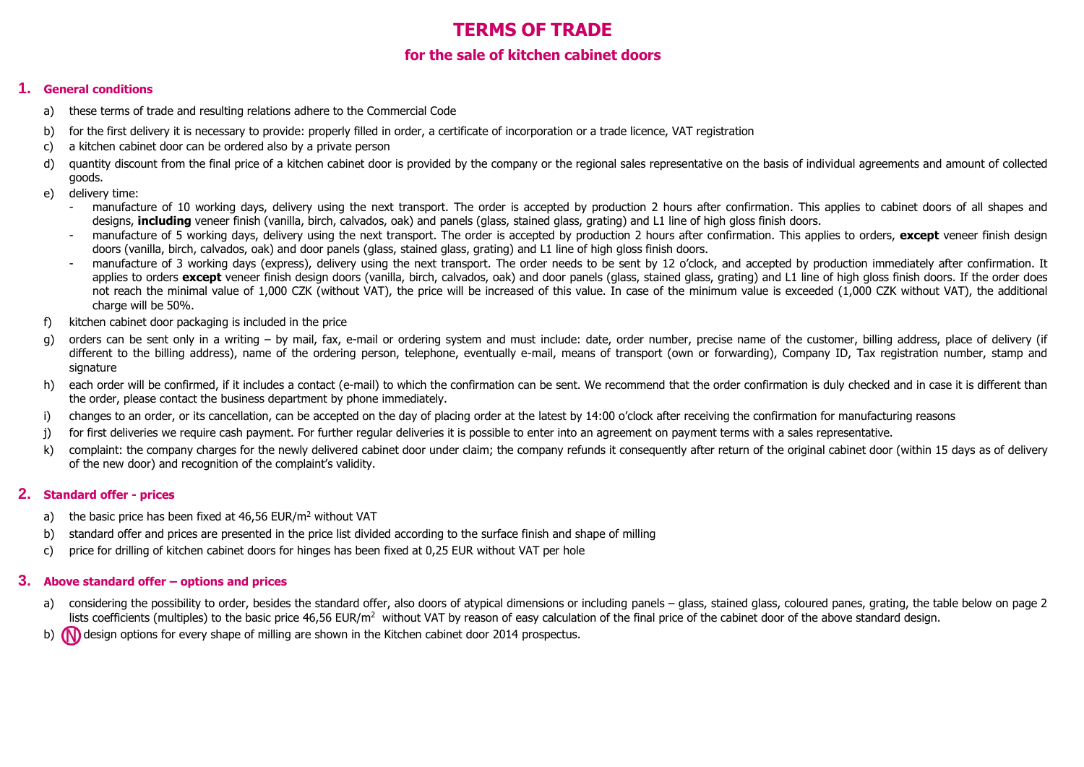# **TERMS OF TRADE**

## **for the sale of kitchen cabinet doors**

## **1. General conditions**

- a) these terms of trade and resulting relations adhere to the Commercial Code
- b) for the first delivery it is necessary to provide: properly filled in order, a certificate of incorporation or a trade licence, VAT registration
- c) a kitchen cabinet door can be ordered also by a private person
- d) quantity discount from the final price of a kitchen cabinet door is provided by the company or the regional sales representative on the basis of individual agreements and amount of collected goods.
- e) delivery time:
	- manufacture of 10 working days, delivery using the next transport. The order is accepted by production 2 hours after confirmation. This applies to cabinet doors of all shapes and designs, **including** veneer finish (vanilla, birch, calvados, oak) and panels (glass, stained glass, grating) and L1 line of high gloss finish doors.
	- manufacture of 5 working days, delivery using the next transport. The order is accepted by production 2 hours after confirmation. This applies to orders, except veneer finish design doors (vanilla, birch, calvados, oak) and door panels (glass, stained glass, grating) and L1 line of high gloss finish doors.
	- manufacture of 3 working days (express), delivery using the next transport. The order needs to be sent by 12 o'clock, and accepted by production immediately after confirmation. It applies to orders except veneer finish design doors (vanilla, birch, calvados, oak) and door panels (glass, stained glass, grating) and L1 line of high gloss finish doors. If the order does not reach the minimal value of 1,000 CZK (without VAT), the price will be increased of this value. In case of the minimum value is exceeded (1,000 CZK without VAT), the additional charge will be 50%.
- f) kitchen cabinet door packaging is included in the price
- g) orders can be sent only in a writing by mail, fax, e-mail or ordering system and must include: date, order number, precise name of the customer, billing address, place of delivery (if different to the billing address), name of the ordering person, telephone, eventually e-mail, means of transport (own or forwarding), Company ID, Tax registration number, stamp and signature
- h) each order will be confirmed, if it includes a contact (e-mail) to which the confirmation can be sent. We recommend that the order confirmation is duly checked and in case it is different than the order, please contact the business department by phone immediately.
- i) changes to an order, or its cancellation, can be accepted on the day of placing order at the latest by 14:00 o'clock after receiving the confirmation for manufacturing reasons
- j) for first deliveries we require cash payment. For further regular deliveries it is possible to enter into an agreement on payment terms with a sales representative.
- k) complaint; the company charges for the newly delivered cabinet door under claim; the company refunds it consequently after return of the original cabinet door (within 15 days as of delivery of the new door) and recognition of the complaint's validity.

## **2. Standard offer - prices**

- a) the basic price has been fixed at 46.56 EUR/m<sup>2</sup> without VAT
- b) standard offer and prices are presented in the price list divided according to the surface finish and shape of milling
- c) price for drilling of kitchen cabinet doors for hinges has been fixed at 0,25 EUR without VAT per hole

## **3. Above standard offer – options and prices**

- a) considering the possibility to order, besides the standard offer, also doors of atypical dimensions or including panels glass, stained glass, coloured panes, grating, the table below on page 2 lists coefficients (multiples) to the basic price 46,56 EUR/ $m<sup>2</sup>$  without VAT by reason of easy calculation of the final price of the cabinet door of the above standard design.
- b) **(N)** design options for every shape of milling are shown in the Kitchen cabinet door 2014 prospectus.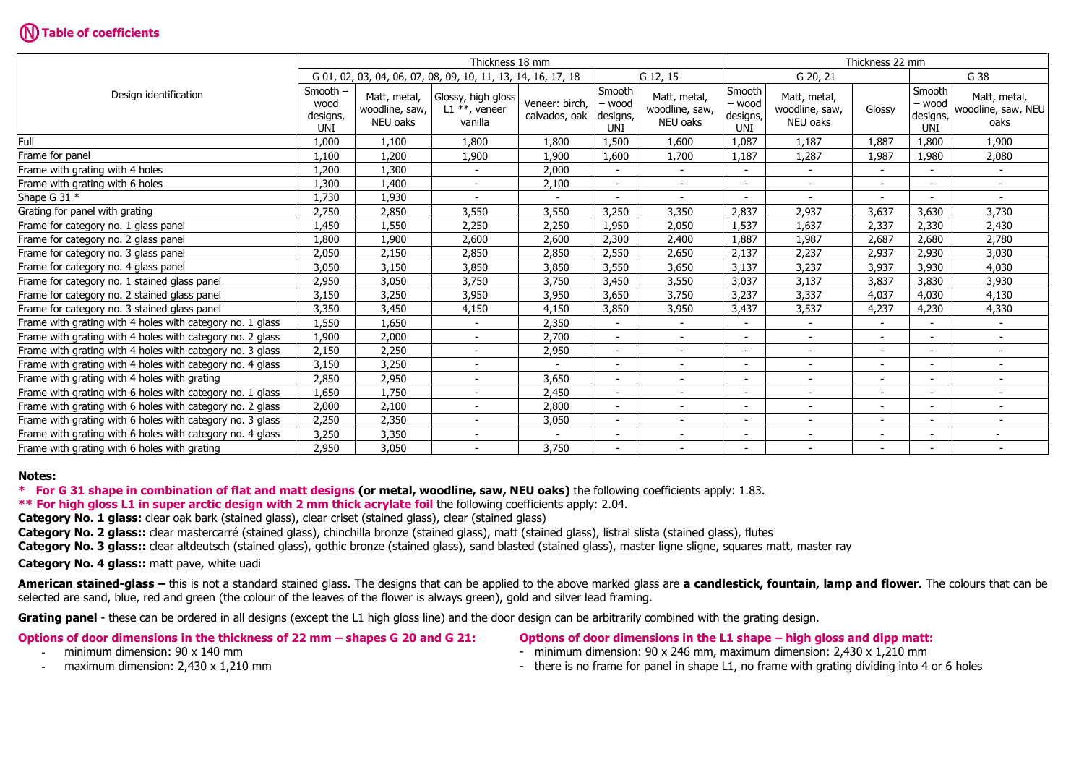# **Table of coefficients**

|                                                           | Thickness 18 mm                                              |                                            |                                                   |                                 |                                     |                                            |                                     | Thickness 22 mm                            |                              |                                     |                                            |  |  |
|-----------------------------------------------------------|--------------------------------------------------------------|--------------------------------------------|---------------------------------------------------|---------------------------------|-------------------------------------|--------------------------------------------|-------------------------------------|--------------------------------------------|------------------------------|-------------------------------------|--------------------------------------------|--|--|
|                                                           | G 01, 02, 03, 04, 06, 07, 08, 09, 10, 11, 13, 14, 16, 17, 18 |                                            |                                                   | G 12, 15                        |                                     | G 20, 21                                   |                                     |                                            | G 38                         |                                     |                                            |  |  |
| Design identification                                     | Smooth -<br>wood<br>designs,<br><b>UNI</b>                   | Matt, metal,<br>woodline, saw,<br>NEU oaks | Glossy, high gloss<br>L1 $**$ , veneer<br>vanilla | Veneer: birch,<br>calvados, oak | Smooth<br>- wood<br>designs,<br>UNI | Matt, metal,<br>woodline, saw,<br>NEU oaks | Smooth<br>- wood<br>designs,<br>UNI | Matt, metal,<br>woodline, saw,<br>NEU oaks | Glossy                       | Smooth<br>- wood<br>designs,<br>UNI | Matt, metal,<br>woodline, saw, NEU<br>oaks |  |  |
| Full                                                      | 1,000                                                        | 1,100                                      | 1,800                                             | 1,800                           | 1,500                               | 1.600                                      | 1,087                               | 1,187                                      | 1,887                        | 1,800                               | 1,900                                      |  |  |
| Frame for panel                                           | 1,100                                                        | 1,200                                      | 1,900                                             | 1,900                           | 1,600                               | 1,700                                      | 1,187                               | 1,287                                      | 1,987                        | 1,980                               | 2,080                                      |  |  |
| Frame with grating with 4 holes                           | L,200                                                        | 1,300                                      |                                                   | 2,000                           |                                     |                                            |                                     |                                            |                              |                                     |                                            |  |  |
| Frame with grating with 6 holes                           | 1,300                                                        | 1,400                                      | $\overline{\phantom{m}}$                          | 2,100                           | $\overline{\phantom{a}}$            | $\sim$                                     |                                     | $\overline{\phantom{a}}$                   | $\overline{\phantom{a}}$     | $\overline{\phantom{a}}$            | $\blacksquare$                             |  |  |
| Shape G 31 $*$                                            | 1,730                                                        | 1,930                                      |                                                   |                                 |                                     |                                            |                                     |                                            |                              |                                     |                                            |  |  |
| Grating for panel with grating                            | 2,750                                                        | 2,850                                      | 3,550                                             | 3,550                           | 3,250                               | 3,350                                      | 2,837                               | 2,937                                      | 3,637                        | 3,630                               | 3,730                                      |  |  |
| Frame for category no. 1 glass panel                      | 1,450                                                        | 1,550                                      | 2,250                                             | 2,250                           | 1,950                               | 2,050                                      | 1,537                               | 1,637                                      | 2,337                        | 2,330                               | 2,430                                      |  |  |
| Frame for category no. 2 glass panel                      | <b>800.</b>                                                  | 1,900                                      | 2,600                                             | 2,600                           | 2,300                               | 2,400                                      | 1,887                               | 1,987                                      | 2,687                        | 2,680                               | 2,780                                      |  |  |
| Frame for category no. 3 glass panel                      | 2,050                                                        | 2,150                                      | 2,850                                             | 2,850                           | 2,550                               | 2,650                                      | 2,137                               | 2,237                                      | 2,937                        | 2,930                               | 3,030                                      |  |  |
| Frame for category no. 4 glass panel                      | 3,050                                                        | 3,150                                      | 3,850                                             | 3,850                           | 3,550                               | 3,650                                      | 3,137                               | 3,237                                      | 3,937                        | 3,930                               | 4,030                                      |  |  |
| Frame for category no. 1 stained glass panel              | 2,950                                                        | 3,050                                      | 3,750                                             | 3,750                           | 3,450                               | 3,550                                      | 3,037                               | 3,137                                      | 3,837                        | 3,830                               | 3,930                                      |  |  |
| Frame for category no. 2 stained glass panel              | 3,150                                                        | 3,250                                      | 3,950                                             | 3,950                           | 3,650                               | 3,750                                      | 3,237                               | 3,337                                      | 4,037                        | 4,030                               | 4,130                                      |  |  |
| Frame for category no. 3 stained glass panel              | 3,350                                                        | 3,450                                      | 4,150                                             | 4,150                           | 3,850                               | 3,950                                      | 3,437                               | 3,537                                      | 4,237                        | 4,230                               | 4,330                                      |  |  |
| Frame with grating with 4 holes with category no. 1 glass | 1,550                                                        | 1,650                                      | $\overline{\phantom{a}}$                          | 2,350                           | $\overline{\phantom{a}}$            | $\sim$                                     |                                     | $\blacksquare$                             | $\overline{\phantom{a}}$     | $\sim$                              | $\sim$                                     |  |  |
| Frame with grating with 4 holes with category no. 2 glass | 1,900                                                        | 2,000                                      | $\blacksquare$                                    | 2,700                           |                                     | $\sim$                                     |                                     | $\blacksquare$                             | ۰                            |                                     | $\sim$                                     |  |  |
| Frame with grating with 4 holes with category no. 3 glass | 2,150                                                        | 2,250                                      |                                                   | 2,950                           |                                     | $\blacksquare$                             |                                     |                                            |                              |                                     |                                            |  |  |
| Frame with grating with 4 holes with category no. 4 glass | 3,150                                                        | 3,250                                      |                                                   |                                 |                                     |                                            |                                     |                                            | $\qquad \qquad \blacksquare$ |                                     |                                            |  |  |
| Frame with grating with 4 holes with grating              | 2,850                                                        | 2,950                                      | $\blacksquare$                                    | 3,650                           | ٠                                   | $\blacksquare$                             |                                     | $\overline{a}$                             | $\overline{\phantom{a}}$     | $\overline{\phantom{a}}$            | $\sim$                                     |  |  |
| Frame with grating with 6 holes with category no. 1 glass | 1,650                                                        | 1,750                                      |                                                   | 2,450                           | $\overline{\phantom{a}}$            | $\overline{\phantom{a}}$                   |                                     | $\overline{a}$                             | -                            | $\overline{\phantom{a}}$            |                                            |  |  |
| Frame with grating with 6 holes with category no. 2 glass | 2,000                                                        | 2,100                                      | $\blacksquare$                                    | 2,800                           | $\overline{a}$                      | $\blacksquare$                             |                                     | $\blacksquare$                             | $\overline{\phantom{0}}$     | $\overline{\phantom{a}}$            |                                            |  |  |
| Frame with grating with 6 holes with category no. 3 glass | 2,250                                                        | 2,350                                      | $\overline{\phantom{a}}$                          | 3,050                           | $\overline{\phantom{a}}$            | $\sim$                                     | $\overline{\phantom{0}}$            | $\overline{\phantom{a}}$                   | $\overline{\phantom{a}}$     | $\sim$                              | $\sim$                                     |  |  |
| Frame with grating with 6 holes with category no. 4 glass | 3,250                                                        | 3,350                                      |                                                   |                                 |                                     | $\overline{\phantom{a}}$                   |                                     | $\blacksquare$                             | ۰                            |                                     |                                            |  |  |
| Frame with grating with 6 holes with grating              | 2,950                                                        | 3,050                                      |                                                   | 3,750                           |                                     | $\overline{\phantom{a}}$                   |                                     |                                            | $\overline{\phantom{a}}$     |                                     |                                            |  |  |

## **Notes:**

**\* For G 31 shape in combination of flat and matt designs (or metal, woodline, saw, NEU oaks)** the following coefficients apply: 1.83.

**\*\* For high gloss L1 in super arctic design with 2 mm thick acrylate foil** the following coefficients apply: 2.04.

**Category No. 1 glass:** clear oak bark (stained glass), clear criset (stained glass), clear (stained glass)

**Category No. 2 glass::** clear mastercarré (stained glass), chinchilla bronze (stained glass), matt (stained glass), listral slista (stained glass), flutes

**Category No. 3 glass::** clear altdeutsch (stained glass), gothic bronze (stained glass), sand blasted (stained glass), master ligne sligne, squares matt, master ray

**Category No. 4 glass::** matt pave, white uadi

**American stained-glass –** this is not a standard stained glass. The designs that can be applied to the above marked glass are **a candlestick, fountain, lamp and flower.** The colours that can be selected are sand, blue, red and green (the colour of the leaves of the flower is always green), gold and silver lead framing.

Grating panel - these can be ordered in all designs (except the L1 high gloss line) and the door design can be arbitrarily combined with the grating design.

| Options of door dimensions in the thickness of 22 mm – shapes G 20 and G 21: | <b>Option</b> |
|------------------------------------------------------------------------------|---------------|
|                                                                              |               |

**Oughthary Considentsions in the L1 shape – high gloss and dipp matt:** 

- 
- minimum dimension: 90 x 140 mm minimum dimension: 90 x 246 mm, maximum dimension: 2.430 x 1.210 mm
- 
- maximum dimension: 2,430 x 1,210 mm  $\blacksquare$  There is no frame for panel in shape L1, no frame with grating dividing into 4 or 6 holes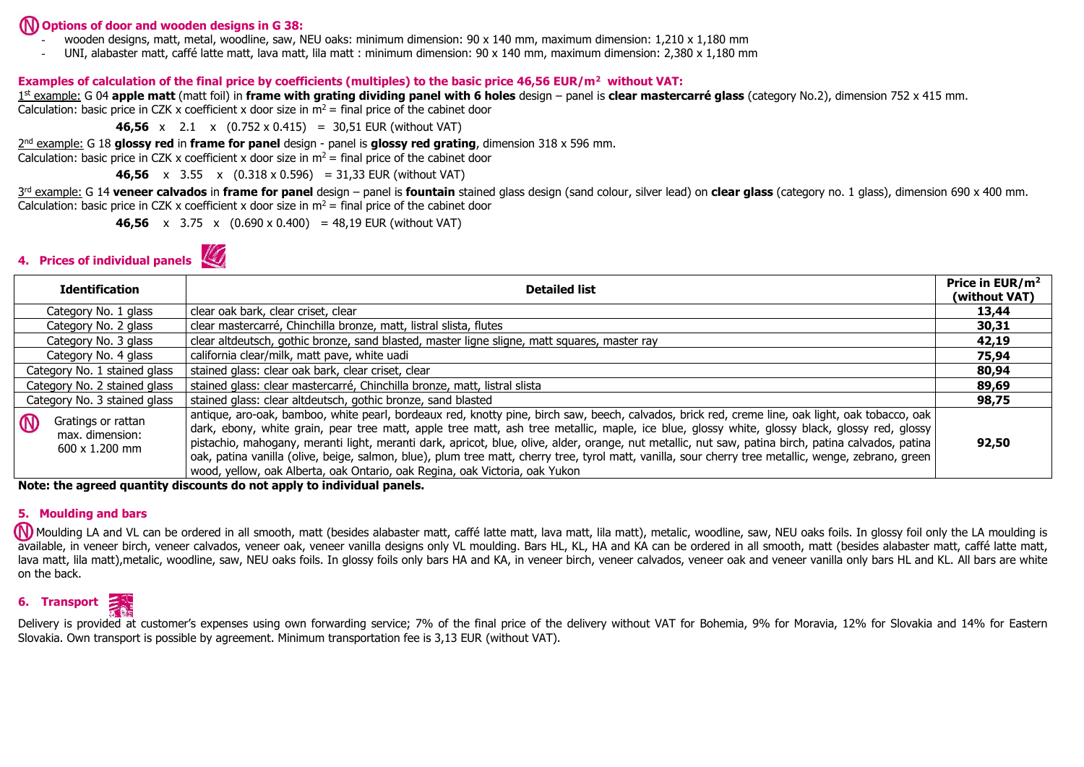## **Options of door and wooden designs in G 38:**

- wooden designs, matt, metal, woodline, saw, NEU oaks: minimum dimension: 90 x 140 mm, maximum dimension: 1,210 x 1,180 mm
- UNI, alabaster matt, caffé latte matt, lava matt, lila matt : minimum dimension: 90 x 140 mm, maximum dimension: 2,380 x 1,180 mm

## **Examples of calculation of the final price by coefficients (multiples) to the basic price 46,56 EUR/m<sup>2</sup> without VAT:**

1st example: G 04 apple matt (matt foil) in frame with grating dividing panel with 6 holes design – panel is clear mastercarré glass (category No.2), dimension 752 x 415 mm. Calculation: basic price in CZK x coefficient x door size in  $m^2 =$  final price of the cabinet door

**46,56** x 2.1 x (0.752 x 0.415) = 30,51 EUR (without VAT)

2 nd example: G 18 **glossy red** in **frame for panel** design - panel is **glossy red grating**, dimension 318 x 596 mm.

Calculation: basic price in CZK x coefficient x door size in  $m^2$  = final price of the cabinet door

**46,56** x 3.55 x (0.318 x 0.596) = 31,33 EUR (without VAT)

3rd example: G 14 **veneer calvados** in frame for panel design – panel is fountain stained glass design (sand colour, silver lead) on clear glass (category no. 1 glass), dimension 690 x 400 mm. Calculation: basic price in CZK x coefficient x door size in  $m^2 =$  final price of the cabinet door

**46.56** x 3.75 x  $(0.690 \times 0.400) = 48.19$  EUR (without VAT)



| <b>Identification</b>                                                         | <b>Detailed list</b>                                                                                                                                                                                                                                                                                                                                                                                                                                                                                                                                                                                                                                                                            |       |  |  |
|-------------------------------------------------------------------------------|-------------------------------------------------------------------------------------------------------------------------------------------------------------------------------------------------------------------------------------------------------------------------------------------------------------------------------------------------------------------------------------------------------------------------------------------------------------------------------------------------------------------------------------------------------------------------------------------------------------------------------------------------------------------------------------------------|-------|--|--|
| Category No. 1 glass                                                          | clear oak bark, clear criset, clear                                                                                                                                                                                                                                                                                                                                                                                                                                                                                                                                                                                                                                                             | 13,44 |  |  |
| Category No. 2 glass                                                          | clear mastercarré, Chinchilla bronze, matt, listral slista, flutes                                                                                                                                                                                                                                                                                                                                                                                                                                                                                                                                                                                                                              | 30,31 |  |  |
| Category No. 3 glass                                                          | clear altdeutsch, gothic bronze, sand blasted, master ligne sligne, matt squares, master ray                                                                                                                                                                                                                                                                                                                                                                                                                                                                                                                                                                                                    | 42,19 |  |  |
| Category No. 4 glass                                                          | california clear/milk, matt pave, white uadi                                                                                                                                                                                                                                                                                                                                                                                                                                                                                                                                                                                                                                                    | 75,94 |  |  |
| Category No. 1 stained glass                                                  | stained glass: clear oak bark, clear criset, clear                                                                                                                                                                                                                                                                                                                                                                                                                                                                                                                                                                                                                                              | 80,94 |  |  |
| Category No. 2 stained glass                                                  | stained glass: clear mastercarré, Chinchilla bronze, matt, listral slista                                                                                                                                                                                                                                                                                                                                                                                                                                                                                                                                                                                                                       | 89,69 |  |  |
| Category No. 3 stained glass                                                  | stained glass: clear altdeutsch, gothic bronze, sand blasted                                                                                                                                                                                                                                                                                                                                                                                                                                                                                                                                                                                                                                    | 98,75 |  |  |
| $\circledR$<br>Gratings or rattan<br>max. dimension:<br>$600 \times 1.200$ mm | antique, aro-oak, bamboo, white pearl, bordeaux red, knotty pine, birch saw, beech, calvados, brick red, creme line, oak light, oak tobacco, oak<br>dark, ebony, white grain, pear tree matt, apple tree matt, ash tree metallic, maple, ice blue, glossy white, glossy black, glossy red, glossy<br>pistachio, mahogany, meranti light, meranti dark, apricot, blue, olive, alder, orange, nut metallic, nut saw, patina birch, patina calvados, patina<br>oak, patina vanilla (olive, beige, salmon, blue), plum tree matt, cherry tree, tyrol matt, vanilla, sour cherry tree metallic, wenge, zebrano, green<br>wood, yellow, oak Alberta, oak Ontario, oak Regina, oak Victoria, oak Yukon | 92,50 |  |  |

**Note: the agreed quantity discounts do not apply to individual panels.**

## **5. Moulding and bars**

**M** Moulding LA and VL can be ordered in all smooth, matt (besides alabaster matt, caffé latte matt, lava matt, lila matt), metalic, woodline, saw, NEU oaks foils. In glossy foil only the LA moulding is available, in veneer birch, veneer calvados, veneer oak, veneer vanilla designs only VL moulding. Bars HL, KL, HA and KA can be ordered in all smooth, matt (besides alabaster matt, caffé latte matt, lava matt, lila matt),metalic, woodline, saw, NEU oaks foils. In glossy foils only bars HA and KA, in veneer birch, veneer calvados, veneer oak and veneer vanilla only bars HL and KL. All bars are white on the back.



Delivery is provided at customer's expenses using own forwarding service; 7% of the final price of the delivery without VAT for Bohemia, 9% for Moravia, 12% for Slovakia and 14% for Eastern Slovakia. Own transport is possible by agreement. Minimum transportation fee is 3,13 EUR (without VAT).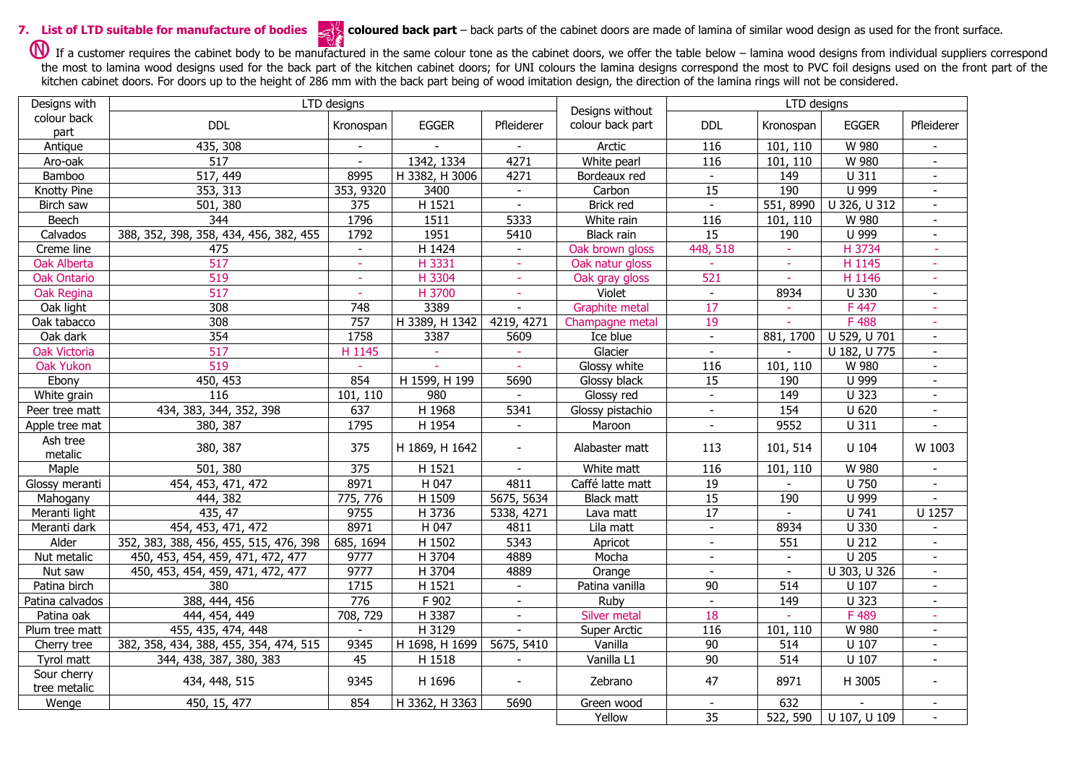**7.** List of LTD suitable for manufacture of bodies coloured back part – back parts of the cabinet doors are made of lamina of similar wood design as used for the front surface.

If a customer requires the cabinet body to be manufactured in the same colour tone as the cabinet doors, we offer the table below – lamina wood designs from individual suppliers correspond the most to lamina wood designs used for the back part of the kitchen cabinet doors; for UNI colours the lamina designs correspond the most to PVC foil designs used on the front part of the kitchen cabinet doors. For doors up to the height of 286 mm with the back part being of wood imitation design, the direction of the lamina rings will not be considered.

| Designs with        | LTD designs                            |                  |                |                          | Designs without   | LTD designs              |                          |              |                          |  |
|---------------------|----------------------------------------|------------------|----------------|--------------------------|-------------------|--------------------------|--------------------------|--------------|--------------------------|--|
| colour back<br>part | <b>DDL</b>                             | Kronospan        | <b>EGGER</b>   | Pfleiderer               | colour back part  | <b>DDL</b>               | Kronospan                | <b>EGGER</b> | Pfleiderer               |  |
| Antique             | 435, 308                               |                  |                |                          | Arctic            | $\frac{116}{ }$          | 101, 110                 | W 980        |                          |  |
| Aro-oak             | $\overline{517}$                       | $\sim$           | 1342, 1334     | 4271                     | White pearl       | 116                      | 101, 110                 | W 980        | $\equiv$                 |  |
| Bamboo              | 517, 449                               | 8995             | H 3382, H 3006 | 4271                     | Bordeaux red      |                          | 149                      | U 311        |                          |  |
| Knotty Pine         | 353, 313                               | 353, 9320        | 3400           | $\overline{\phantom{a}}$ | Carbon            | $\overline{15}$          | 190                      | U 999        | $\blacksquare$           |  |
| Birch saw           | 501, 380                               | 375              | H 1521         |                          | Brick red         |                          | 551, 8990                | U 326, U 312 |                          |  |
| Beech               | $\overline{344}$                       | 1796             | 1511           | 5333                     | White rain        | 116                      | 101, 110                 | W 980        | $\overline{\phantom{a}}$ |  |
| Calvados            | 388, 352, 398, 358, 434, 456, 382, 455 | 1792             | 1951           | 5410                     | Black rain        | $\overline{15}$          | 190                      | U 999        |                          |  |
| Creme line          | 475                                    | $\blacksquare$   | H 1424         | $\blacksquare$           | Oak brown gloss   | 448, 518                 | $\sim$                   | H 3734       | $\overline{\phantom{a}}$ |  |
| Oak Alberta         | 517                                    | $\omega$         | H 3331         | ÷.                       | Oak natur gloss   |                          | ÷.                       | H 1145       | $\sim$                   |  |
| <b>Oak Ontario</b>  | 519                                    | $\sim$           | H 3304         | $\omega$                 | Oak gray gloss    | 521                      | $\blacksquare$           | H 1146       | $\sim$                   |  |
| Oak Regina          | 517                                    | $\sim$           | H 3700         | $\overline{\phantom{a}}$ | Violet            | $\overline{\phantom{a}}$ | 8934                     | U 330        | $\overline{\phantom{a}}$ |  |
| Oak light           | 308                                    | $\overline{748}$ | 3389           |                          | Graphite metal    | $\overline{17}$          |                          | F 447        |                          |  |
| Oak tabacco         | 308                                    | 757              | H 3389, H 1342 | 4219, 4271               | Champagne metal   | 19                       | ÷.                       | F488         | $\equiv$                 |  |
| Oak dark            | 354                                    | 1758             | 3387           | 5609                     | Ice blue          | $\blacksquare$           | 881, 1700                | U 529, U 701 | $\equiv$                 |  |
| <b>Oak Victoria</b> | 517                                    | H 1145           | $\sim$         | $\sim$                   | Glacier           | $\blacksquare$           | $\overline{\phantom{a}}$ | U 182, U 775 | $\blacksquare$           |  |
| <b>Oak Yukon</b>    | 519                                    |                  |                |                          | Glossy white      | 116                      | 101, 110                 | W 980        |                          |  |
| Ebony               | 450, 453                               | 854              | H 1599, H 199  | 5690                     | Glossy black      | $\overline{15}$          | 190                      | U 999        | $\equiv$                 |  |
| White grain         | 116                                    | 101, 110         | 980            |                          | Glossy red        | $\blacksquare$           | 149                      | U 323        | $\overline{\phantom{a}}$ |  |
| Peer tree matt      | 434, 383, 344, 352, 398                | 637              | H 1968         | 5341                     | Glossy pistachio  | $\blacksquare$           | 154                      | $U$ 620      | $\blacksquare$           |  |
| Apple tree mat      | 380, 387                               | 1795             | H 1954         |                          | Maroon            | $\blacksquare$           | 9552                     | U 311        |                          |  |
| Ash tree            |                                        |                  |                |                          |                   |                          |                          |              |                          |  |
| metalic             | 380, 387                               | 375              | H 1869, H 1642 | $\blacksquare$           | Alabaster matt    | 113                      | 101, 514                 | U 104        | W 1003                   |  |
| Maple               | 501, 380                               | 375              | H 1521         | $\sim$                   | White matt        | 116                      | 101, 110                 | W 980        | $\blacksquare$           |  |
| Glossy meranti      | 454, 453, 471, 472                     | 8971             | H 047          | 4811                     | Caffé latte matt  | 19                       |                          | $U$ 750      |                          |  |
| Mahogany            | 444, 382                               | 775, 776         | H 1509         | 5675, 5634               | <b>Black matt</b> | 15                       | 190                      | U 999        |                          |  |
| Meranti light       | 435, 47                                | 9755             | H 3736         | 5338, 4271               | Lava matt         | 17                       |                          | U 741        | U 1257                   |  |
| Meranti dark        | 454, 453, 471, 472                     | 8971             | H 047          | 4811                     | Lila matt         | $\blacksquare$           | 8934                     | U 330        |                          |  |
| Alder               | 352, 383, 388, 456, 455, 515, 476, 398 | 685, 1694        | H 1502         | 5343                     | Apricot           | $\mathbf{r}$             | 551                      | U 212        |                          |  |
| Nut metalic         | 450, 453, 454, 459, 471, 472, 477      | 9777             | H 3704         | 4889                     | Mocha             | $\overline{\phantom{a}}$ | $\overline{\phantom{a}}$ | $U$ 205      | $\overline{\phantom{a}}$ |  |
| Nut saw             | 450, 453, 454, 459, 471, 472, 477      | 9777             | H 3704         | 4889                     | Orange            | $\overline{a}$           | $\sim$                   | U 303, U 326 | $\blacksquare$           |  |
| Patina birch        | 380                                    | 1715             | H 1521         | $\blacksquare$           | Patina vanilla    | 90                       | 514                      | U 107        |                          |  |
| Patina calvados     | 388, 444, 456                          | 776              | F 902          | $\omega$                 | Ruby              | $\mathbb{L}^2$           | 149                      | $U$ 323      | $\blacksquare$           |  |
| Patina oak          | 444, 454, 449                          | 708, 729         | H 3387         | $\overline{\phantom{a}}$ | Silver metal      | 18                       |                          | F489         | $\sim$                   |  |
| Plum tree matt      | 455, 435, 474, 448                     | $\sim$           | H 3129         | $\overline{\phantom{a}}$ | Super Arctic      | 116                      | 101, 110                 | W 980        | $\overline{\phantom{a}}$ |  |
| Cherry tree         | 382, 358, 434, 388, 455, 354, 474, 515 | 9345             | H 1698, H 1699 | 5675, 5410               | Vanilla           | 90                       | 514                      | $U$ 107      |                          |  |
| Tyrol matt          | 344, 438, 387, 380, 383                | 45               | H 1518         | $\blacksquare$           | Vanilla L1        | $\overline{90}$          | 514                      | $U$ 107      | $\equiv$                 |  |
| Sour cherry         |                                        | 9345             | H 1696         |                          | Zebrano           | 47                       | 8971                     | H 3005       | $\overline{a}$           |  |
| tree metalic        | 434, 448, 515                          |                  |                |                          |                   |                          |                          |              |                          |  |
| Wenge               | 450, 15, 477                           | 854              | H 3362, H 3363 | 5690                     | Green wood        | $\mathcal{L}$            | 632                      |              |                          |  |
|                     |                                        |                  |                |                          | Yellow            | $\overline{35}$          | 522, 590                 | U 107, U 109 |                          |  |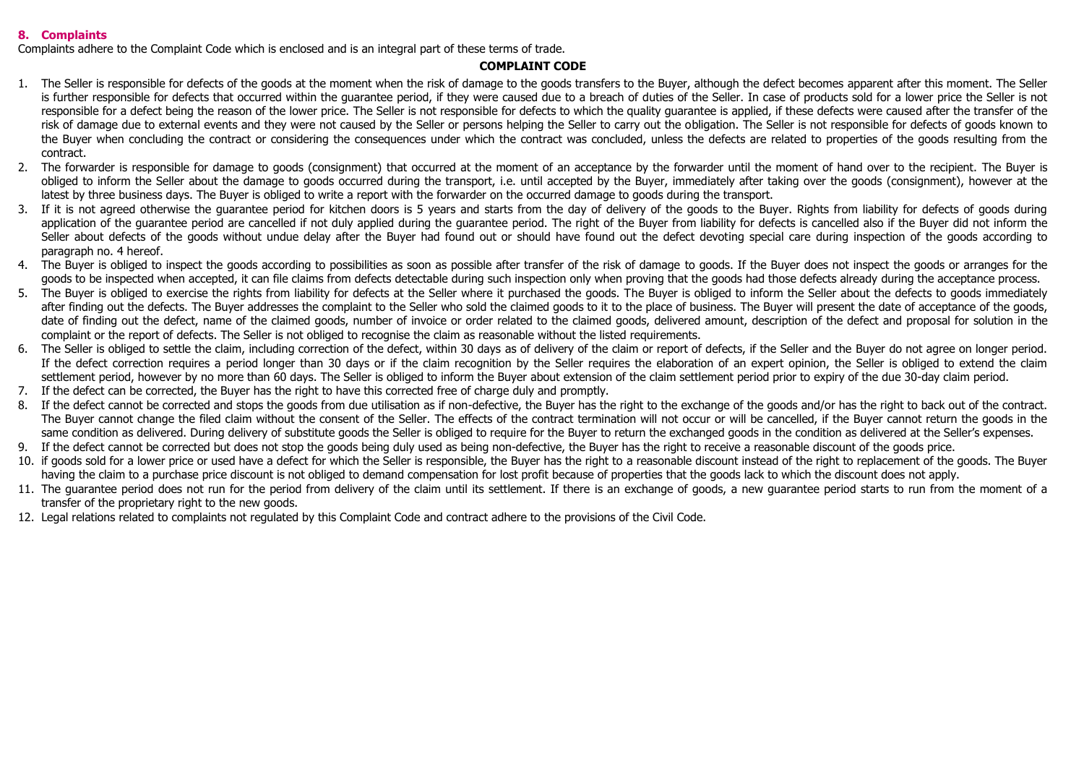## **8. Complaints**

Complaints adhere to the Complaint Code which is enclosed and is an integral part of these terms of trade.

## **COMPLAINT CODE**

- 1. The Seller is responsible for defects of the goods at the moment when the risk of damage to the goods transfers to the Buyer, although the defect becomes apparent after this moment. The Seller is further responsible for defects that occurred within the quarantee period, if they were caused due to a breach of duties of the Seller. In case of products sold for a lower price the Seller is not responsible for a defect being the reason of the lower price. The Seller is not responsible for defects to which the quality guarantee is applied, if these defects were caused after the transfer of the risk of damage due to external events and they were not caused by the Seller or persons helping the Seller to carry out the obligation. The Seller is not responsible for defects of goods known to the Buyer when concluding the contract or considering the consequences under which the contract was concluded, unless the defects are related to properties of the goods resulting from the contract.
- 2. The forwarder is responsible for damage to goods (consignment) that occurred at the moment of an acceptance by the forwarder until the moment of hand over to the recipient. The Buyer is obliged to inform the Seller about the damage to goods occurred during the transport, i.e. until accepted by the Buyer, immediately after taking over the goods (consignment), however at the latest by three business days. The Buyer is obliged to write a report with the forwarder on the occurred damage to goods during the transport.
- 3. If it is not agreed otherwise the guarantee period for kitchen doors is 5 years and starts from the day of delivery of the goods to the Buyer. Rights from liability for defects of goods during application of the guarantee period are cancelled if not duly applied during the guarantee period. The right of the Buyer from liability for defects is cancelled also if the Buyer did not inform the Seller about defects of the goods without undue delay after the Buyer had found out or should have found out the defect devoting special care during inspection of the goods according to paragraph no. 4 hereof.
- 4. The Buyer is obliged to inspect the goods according to possibilities as soon as possible after transfer of the risk of damage to goods. If the Buyer does not inspect the goods or arranges for the goods to be inspected when accepted, it can file claims from defects detectable during such inspection only when proving that the goods had those defects already during the acceptance process.
- 5. The Buyer is obliged to exercise the rights from liability for defects at the Seller where it purchased the goods. The Buyer is obliged to inform the Seller about the defects to goods immediately after finding out the defects. The Buyer addresses the complaint to the Seller who sold the claimed goods to it to the place of business. The Buyer will present the date of acceptance of the goods, date of finding out the defect, name of the claimed goods, number of invoice or order related to the claimed goods, delivered amount, description of the defect and proposal for solution in the complaint or the report of defects. The Seller is not obliged to recognise the claim as reasonable without the listed requirements.
- 6. The Seller is obliged to settle the claim, including correction of the defect, within 30 days as of delivery of the claim or report of defects, if the Seller and the Buyer do not agree on longer period. If the defect correction requires a period longer than 30 days or if the claim recognition by the Seller requires the elaboration of an expert opinion, the Seller is obliged to extend the claim settlement period, however by no more than 60 days. The Seller is obliged to inform the Buyer about extension of the claim settlement period prior to expiry of the due 30-day claim period.
- 7. If the defect can be corrected, the Buyer has the right to have this corrected free of charge duly and promptly.
- 8. If the defect cannot be corrected and stops the goods from due utilisation as if non-defective, the Buyer has the right to the exchange of the goods and/or has the right to back out of the contract. The Buyer cannot change the filed claim without the consent of the Seller. The effects of the contract termination will not occur or will be cancelled, if the Buyer cannot return the goods in the same condition as delivered. During delivery of substitute goods the Seller is obliged to require for the Buyer to return the exchanged goods in the condition as delivered at the Seller's expenses.
- 9. If the defect cannot be corrected but does not stop the goods being duly used as being non-defective, the Buyer has the right to receive a reasonable discount of the goods price.
- 10. if goods sold for a lower price or used have a defect for which the Seller is responsible, the Buyer has the right to a reasonable discount instead of the right to replacement of the goods. The Buyer having the claim to a purchase price discount is not obliged to demand compensation for lost profit because of properties that the goods lack to which the discount does not apply.
- 11. The quarantee period does not run for the period from delivery of the claim until its settlement. If there is an exchange of goods, a new quarantee period starts to run from the moment of a transfer of the proprietary right to the new goods.
- 12. Legal relations related to complaints not regulated by this Complaint Code and contract adhere to the provisions of the Civil Code.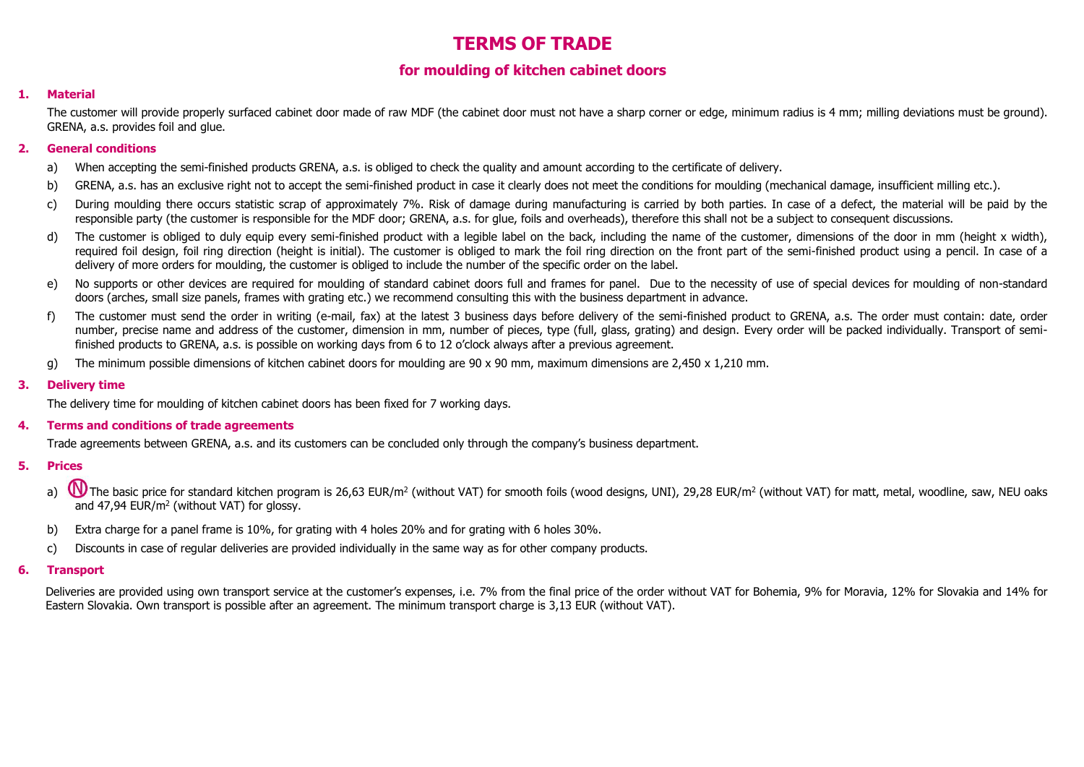# **TERMS OF TRADE**

## **for moulding of kitchen cabinet doors**

## **1. Material**

The customer will provide properly surfaced cabinet door made of raw MDF (the cabinet door must not have a sharp corner or edge, minimum radius is 4 mm; milling deviations must be ground). GRENA, a.s. provides foil and glue.

## **2. General conditions**

- a) When accepting the semi-finished products GRENA, a.s. is obliged to check the quality and amount according to the certificate of delivery.
- b) GRENA, a.s. has an exclusive right not to accept the semi-finished product in case it clearly does not meet the conditions for moulding (mechanical damage, insufficient milling etc.).
- c) During moulding there occurs statistic scrap of approximately 7%. Risk of damage during manufacturing is carried by both parties. In case of a defect, the material will be paid by the responsible party (the customer is responsible for the MDF door; GRENA, a.s. for glue, foils and overheads), therefore this shall not be a subject to consequent discussions.
- d) The customer is obliged to duly equip every semi-finished product with a legible label on the back, including the name of the customer, dimensions of the door in mm (height x width), required foil design, foil ring direction (height is initial). The customer is obliged to mark the foil ring direction on the front part of the semi-finished product using a pencil. In case of a delivery of more orders for moulding, the customer is obliged to include the number of the specific order on the label.
- e) No supports or other devices are required for moulding of standard cabinet doors full and frames for panel. Due to the necessity of use of special devices for moulding of non-standard doors (arches, small size panels, frames with grating etc.) we recommend consulting this with the business department in advance.
- f) The customer must send the order in writing (e-mail, fax) at the latest 3 business days before delivery of the semi-finished product to GRENA, a.s. The order must contain: date, order number, precise name and address of the customer, dimension in mm, number of pieces, type (full, glass, grating) and design. Every order will be packed individually. Transport of semifinished products to GRENA, a.s. is possible on working days from 6 to 12 o'clock always after a previous agreement.
- g) The minimum possible dimensions of kitchen cabinet doors for moulding are 90 x 90 mm, maximum dimensions are 2,450 x 1,210 mm.

## **3. Delivery time**

The delivery time for moulding of kitchen cabinet doors has been fixed for 7 working days.

## **4. Terms and conditions of trade agreements**

Trade agreements between GRENA, a.s. and its customers can be concluded only through the company's business department.

- **5. Prices**
	- a) U The basic price for standard kitchen program is 26,63 EUR/m<sup>2</sup> (without VAT) for smooth foils (wood designs, UNI), 29,28 EUR/m<sup>2</sup> (without VAT) for matt, metal, woodline, saw, NEU oaks and 47,94 EUR/m<sup>2</sup> (without VAT) for glossy.
	- b) Extra charge for a panel frame is 10%, for grating with 4 holes 20% and for grating with 6 holes 30%.
	- c) Discounts in case of regular deliveries are provided individually in the same way as for other company products.

## **6. Transport**

Deliveries are provided using own transport service at the customer's expenses, i.e. 7% from the final price of the order without VAT for Bohemia, 9% for Moravia, 12% for Slovakia and 14% for Eastern Slovakia. Own transport is possible after an agreement. The minimum transport charge is 3,13 EUR (without VAT).